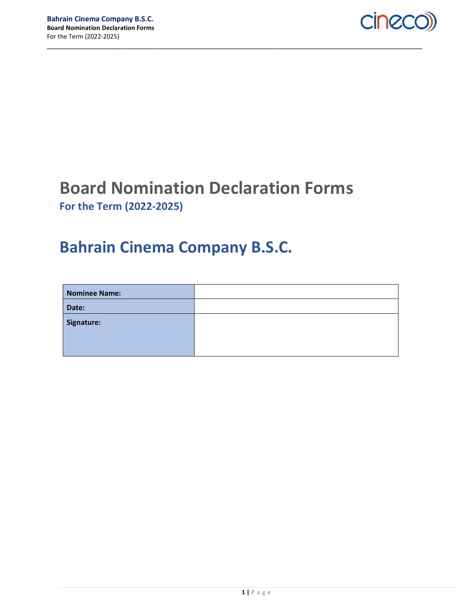

## Board Nomination Declaration Forms For the Term (2022-2025)

\_\_\_\_\_\_\_\_\_\_\_\_\_\_\_\_\_\_\_\_\_\_\_\_\_\_\_\_\_\_\_\_\_\_\_\_\_\_\_\_\_\_\_\_\_\_\_\_\_\_\_\_\_\_\_\_\_\_\_\_\_\_\_\_\_\_\_\_\_\_\_\_\_\_\_\_\_\_\_\_\_\_\_\_\_\_\_\_\_\_\_\_\_\_

## Bahrain Cinema Company B.S.C.

| <b>Nominee Name:</b> |  |
|----------------------|--|
| Date:                |  |
| Signature:           |  |
|                      |  |
|                      |  |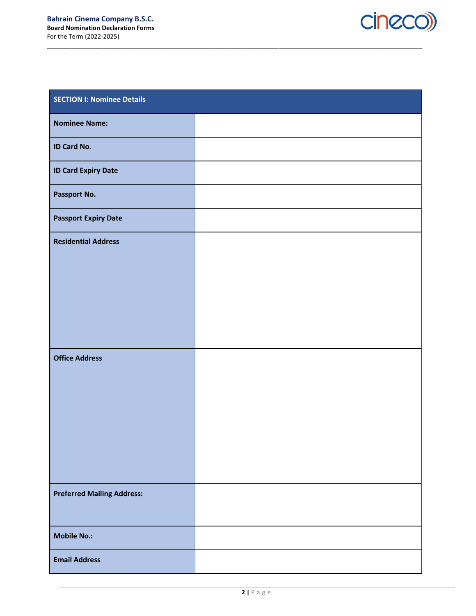

| <b>SECTION I: Nominee Details</b> |  |  |
|-----------------------------------|--|--|
| <b>Nominee Name:</b>              |  |  |
| <b>ID Card No.</b>                |  |  |
| <b>ID Card Expiry Date</b>        |  |  |
| Passport No.                      |  |  |
| <b>Passport Expiry Date</b>       |  |  |
| <b>Residential Address</b>        |  |  |
|                                   |  |  |
|                                   |  |  |
|                                   |  |  |
|                                   |  |  |
| <b>Office Address</b>             |  |  |
|                                   |  |  |
|                                   |  |  |
|                                   |  |  |
|                                   |  |  |
| <b>Preferred Mailing Address:</b> |  |  |
|                                   |  |  |
| <b>Mobile No.:</b>                |  |  |
| <b>Email Address</b>              |  |  |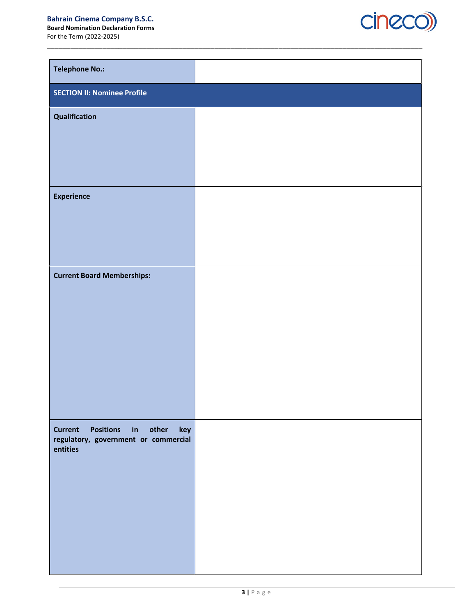## Bahrain Cinema Company B.S.C.

Board Nomination Declaration Forms For the Term (2022-2025)

cineco)

| <b>Telephone No.:</b>                                                                           |  |
|-------------------------------------------------------------------------------------------------|--|
| <b>SECTION II: Nominee Profile</b>                                                              |  |
| Qualification                                                                                   |  |
|                                                                                                 |  |
|                                                                                                 |  |
| <b>Experience</b>                                                                               |  |
|                                                                                                 |  |
|                                                                                                 |  |
| <b>Current Board Memberships:</b>                                                               |  |
|                                                                                                 |  |
|                                                                                                 |  |
|                                                                                                 |  |
|                                                                                                 |  |
|                                                                                                 |  |
|                                                                                                 |  |
| Positions in other<br><b>Current</b><br>key<br>regulatory, government or commercial<br>entities |  |
|                                                                                                 |  |
|                                                                                                 |  |
|                                                                                                 |  |
|                                                                                                 |  |
|                                                                                                 |  |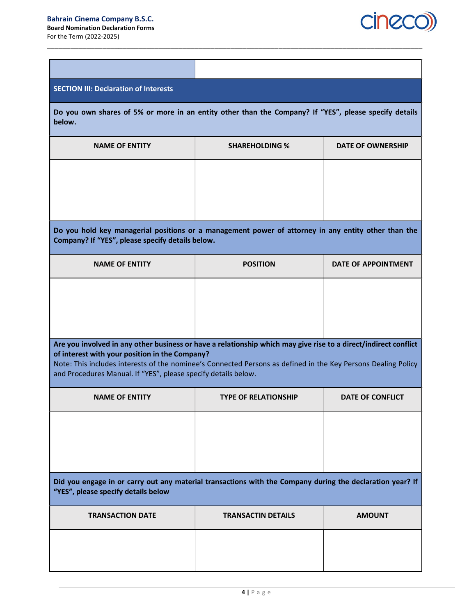

| <b>SECTION III: Declaration of Interests</b>                                                                                                                                                                                                                                                                                                         |                             |                            |  |
|------------------------------------------------------------------------------------------------------------------------------------------------------------------------------------------------------------------------------------------------------------------------------------------------------------------------------------------------------|-----------------------------|----------------------------|--|
| Do you own shares of 5% or more in an entity other than the Company? If "YES", please specify details<br>below.                                                                                                                                                                                                                                      |                             |                            |  |
| <b>NAME OF ENTITY</b>                                                                                                                                                                                                                                                                                                                                | <b>SHAREHOLDING %</b>       | <b>DATE OF OWNERSHIP</b>   |  |
|                                                                                                                                                                                                                                                                                                                                                      |                             |                            |  |
| Do you hold key managerial positions or a management power of attorney in any entity other than the<br>Company? If "YES", please specify details below.                                                                                                                                                                                              |                             |                            |  |
| <b>NAME OF ENTITY</b>                                                                                                                                                                                                                                                                                                                                | <b>POSITION</b>             | <b>DATE OF APPOINTMENT</b> |  |
| Are you involved in any other business or have a relationship which may give rise to a direct/indirect conflict<br>of interest with your position in the Company?<br>Note: This includes interests of the nominee's Connected Persons as defined in the Key Persons Dealing Policy<br>and Procedures Manual. If "YES", please specify details below. |                             |                            |  |
| <b>NAME OF ENTITY</b>                                                                                                                                                                                                                                                                                                                                | <b>TYPE OF RELATIONSHIP</b> | <b>DATE OF CONFLICT</b>    |  |
|                                                                                                                                                                                                                                                                                                                                                      |                             |                            |  |
|                                                                                                                                                                                                                                                                                                                                                      |                             |                            |  |
| Did you engage in or carry out any material transactions with the Company during the declaration year? If<br>"YES", please specify details below                                                                                                                                                                                                     |                             |                            |  |
| <b>TRANSACTION DATE</b>                                                                                                                                                                                                                                                                                                                              | <b>TRANSACTIN DETAILS</b>   | <b>AMOUNT</b>              |  |
|                                                                                                                                                                                                                                                                                                                                                      |                             |                            |  |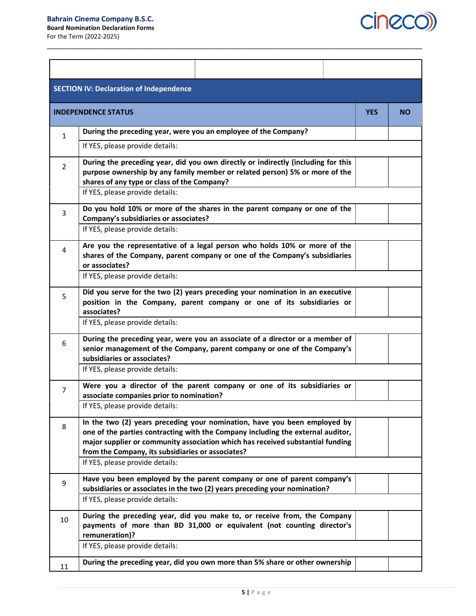

| <b>SECTION IV: Declaration of Independence</b> |                                                                                                                                                                                                                                                                                                                                        |            |           |  |  |
|------------------------------------------------|----------------------------------------------------------------------------------------------------------------------------------------------------------------------------------------------------------------------------------------------------------------------------------------------------------------------------------------|------------|-----------|--|--|
|                                                | <b>INDEPENDENCE STATUS</b>                                                                                                                                                                                                                                                                                                             | <b>YES</b> | <b>NO</b> |  |  |
| $\mathbf{1}$                                   | During the preceding year, were you an employee of the Company?                                                                                                                                                                                                                                                                        |            |           |  |  |
|                                                | If YES, please provide details:                                                                                                                                                                                                                                                                                                        |            |           |  |  |
| $\overline{2}$                                 | During the preceding year, did you own directly or indirectly (including for this<br>purpose ownership by any family member or related person) 5% or more of the<br>shares of any type or class of the Company?<br>If YES, please provide details:                                                                                     |            |           |  |  |
| 3                                              | Do you hold 10% or more of the shares in the parent company or one of the<br>Company's subsidiaries or associates?<br>If YES, please provide details:                                                                                                                                                                                  |            |           |  |  |
| 4                                              | Are you the representative of a legal person who holds 10% or more of the<br>shares of the Company, parent company or one of the Company's subsidiaries<br>or associates?<br>If YES, please provide details:                                                                                                                           |            |           |  |  |
| 5                                              | Did you serve for the two (2) years preceding your nomination in an executive<br>position in the Company, parent company or one of its subsidiaries or<br>associates?<br>If YES, please provide details:                                                                                                                               |            |           |  |  |
| 6                                              | During the preceding year, were you an associate of a director or a member of<br>senior management of the Company, parent company or one of the Company's                                                                                                                                                                              |            |           |  |  |
|                                                | subsidiaries or associates?<br>If YES, please provide details:                                                                                                                                                                                                                                                                         |            |           |  |  |
| $\overline{7}$                                 | Were you a director of the parent company or one of its subsidiaries or<br>associate companies prior to nomination?<br>If YES, please provide details:                                                                                                                                                                                 |            |           |  |  |
| 8                                              | In the two (2) years preceding your nomination, have you been employed by<br>one of the parties contracting with the Company including the external auditor,<br>major supplier or community association which has received substantial funding<br>from the Company, its subsidiaries or associates?<br>If YES, please provide details: |            |           |  |  |
| 9                                              | Have you been employed by the parent company or one of parent company's<br>subsidiaries or associates in the two (2) years preceding your nomination?<br>If YES, please provide details:                                                                                                                                               |            |           |  |  |
| 10                                             | During the preceding year, did you make to, or receive from, the Company<br>payments of more than BD 31,000 or equivalent (not counting director's<br>remuneration)?                                                                                                                                                                   |            |           |  |  |
|                                                | If YES, please provide details:                                                                                                                                                                                                                                                                                                        |            |           |  |  |
| 11                                             | During the preceding year, did you own more than 5% share or other ownership                                                                                                                                                                                                                                                           |            |           |  |  |